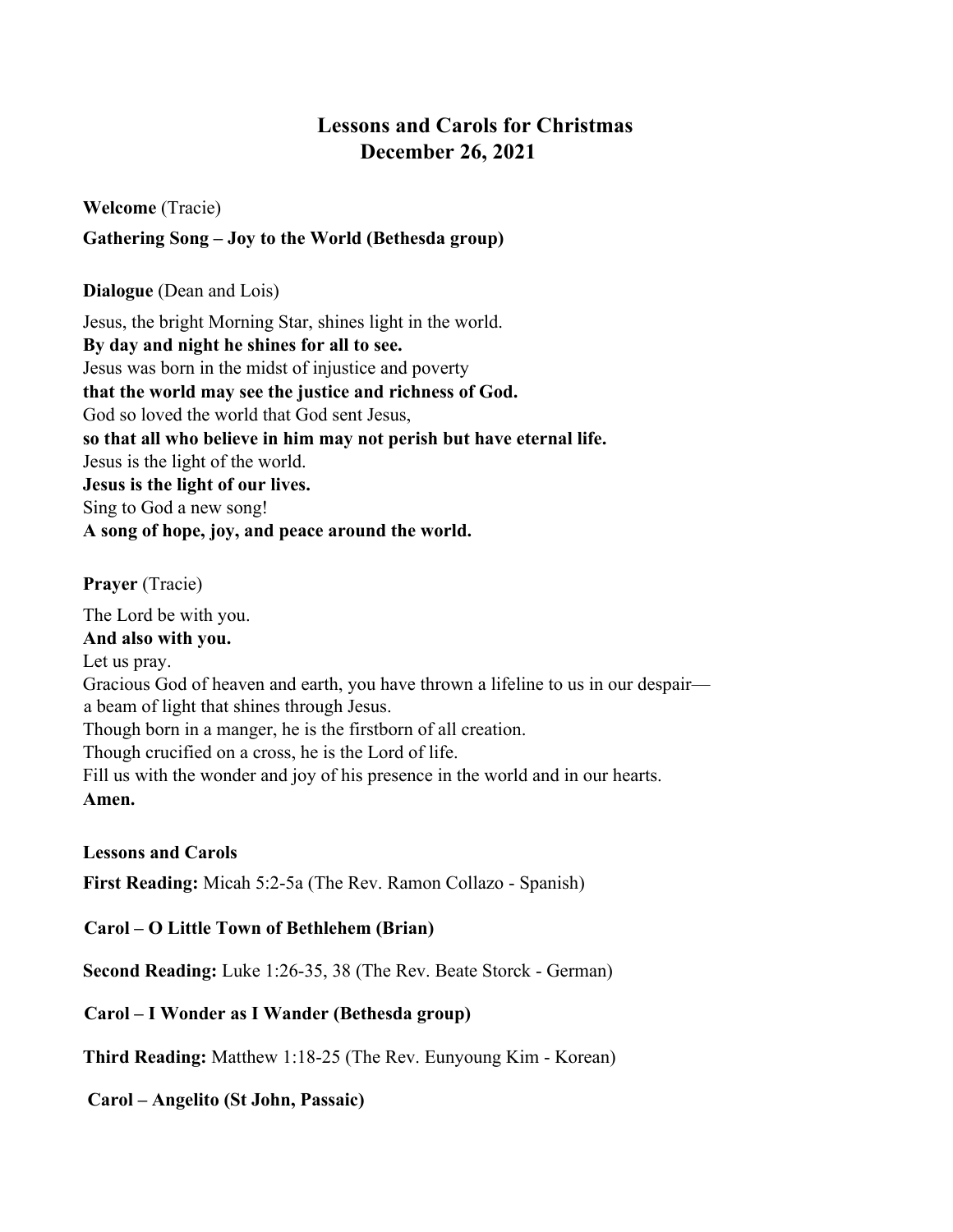# **Lessons and Carols for Christmas December 26, 2021**

**Welcome** (Tracie)

**Gathering Song – Joy to the World (Bethesda group)**

**Dialogue** (Dean and Lois)

Jesus, the bright Morning Star, shines light in the world. **By day and night he shines for all to see.**  Jesus was born in the midst of injustice and poverty **that the world may see the justice and richness of God.**  God so loved the world that God sent Jesus, **so that all who believe in him may not perish but have eternal life.** Jesus is the light of the world. **Jesus is the light of our lives.** Sing to God a new song! **A song of hope, joy, and peace around the world.**

**Prayer** (Tracie)

The Lord be with you. **And also with you.** Let us pray. Gracious God of heaven and earth, you have thrown a lifeline to us in our despair a beam of light that shines through Jesus. Though born in a manger, he is the firstborn of all creation. Though crucified on a cross, he is the Lord of life. Fill us with the wonder and joy of his presence in the world and in our hearts. **Amen.**

**Lessons and Carols**

**First Reading:** Micah 5:2-5a (The Rev. Ramon Collazo - Spanish)

**Carol – O Little Town of Bethlehem (Brian)**

**Second Reading:** Luke 1:26-35, 38 (The Rev. Beate Storck - German)

**Carol – I Wonder as I Wander (Bethesda group)**

**Third Reading:** Matthew 1:18-25 (The Rev. Eunyoung Kim - Korean)

**Carol – Angelito (St John, Passaic)**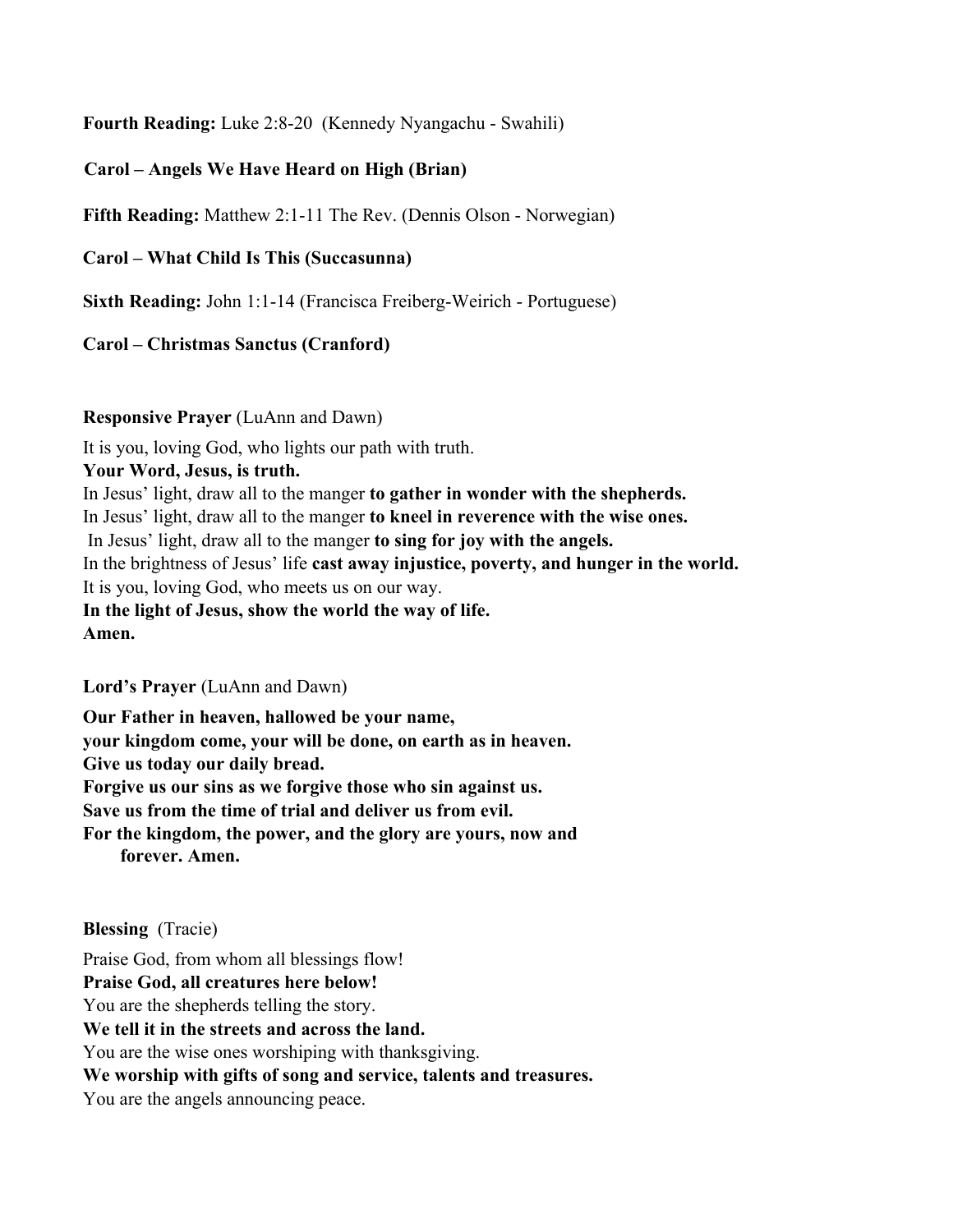**Fourth Reading:** Luke 2:8-20 (Kennedy Nyangachu - Swahili)

**Carol – Angels We Have Heard on High (Brian)**

**Fifth Reading:** Matthew 2:1-11 The Rev. (Dennis Olson - Norwegian)

**Carol – What Child Is This (Succasunna)**

**Sixth Reading:** John 1:1-14 (Francisca Freiberg-Weirich - Portuguese)

### **Carol – Christmas Sanctus (Cranford)**

#### **Responsive Prayer** (LuAnn and Dawn)

It is you, loving God, who lights our path with truth.

#### **Your Word, Jesus, is truth.**

In Jesus' light, draw all to the manger **to gather in wonder with the shepherds.**  In Jesus' light, draw all to the manger **to kneel in reverence with the wise ones.** In Jesus' light, draw all to the manger **to sing for joy with the angels.**  In the brightness of Jesus' life **cast away injustice, poverty, and hunger in the world.** It is you, loving God, who meets us on our way. **In the light of Jesus, show the world the way of life. Amen.**

**Lord's Prayer** (LuAnn and Dawn)

**Our Father in heaven, hallowed be your name, your kingdom come, your will be done, on earth as in heaven. Give us today our daily bread. Forgive us our sins as we forgive those who sin against us. Save us from the time of trial and deliver us from evil. For the kingdom, the power, and the glory are yours, now and forever. Amen.**

**Blessing** (Tracie)

Praise God, from whom all blessings flow! **Praise God, all creatures here below!** You are the shepherds telling the story. **We tell it in the streets and across the land.** You are the wise ones worshiping with thanksgiving. **We worship with gifts of song and service, talents and treasures.** You are the angels announcing peace.